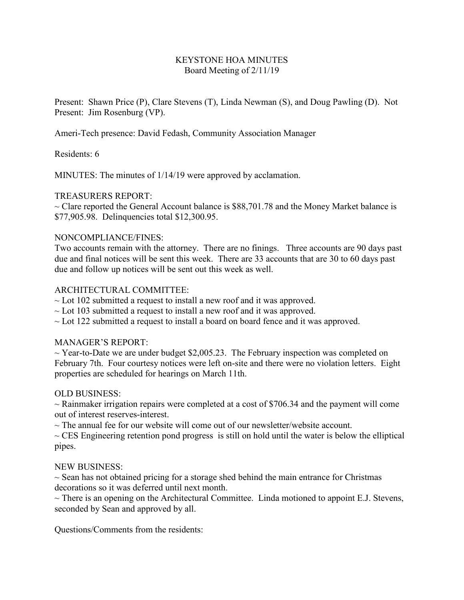# KEYSTONE HOA MINUTES Board Meeting of 2/11/19

Present: Shawn Price (P), Clare Stevens (T), Linda Newman (S), and Doug Pawling (D). Not Present: Jim Rosenburg (VP).

Ameri-Tech presence: David Fedash, Community Association Manager

# Residents: 6

MINUTES: The minutes of 1/14/19 were approved by acclamation.

# TREASURERS REPORT:

 $\sim$  Clare reported the General Account balance is \$88,701.78 and the Money Market balance is \$77,905.98. Delinquencies total \$12,300.95.

## NONCOMPLIANCE/FINES:

Two accounts remain with the attorney. There are no finings. Three accounts are 90 days past due and final notices will be sent this week. There are 33 accounts that are 30 to 60 days past due and follow up notices will be sent out this week as well.

# ARCHITECTURAL COMMITTEE:

 $\sim$  Lot 102 submitted a request to install a new roof and it was approved.

- $\sim$  Lot 103 submitted a request to install a new roof and it was approved.
- $\sim$  Lot 122 submitted a request to install a board on board fence and it was approved.

## MANAGER'S REPORT:

 $\sim$  Year-to-Date we are under budget \$2,005.23. The February inspection was completed on February 7th. Four courtesy notices were left on-site and there were no violation letters. Eight properties are scheduled for hearings on March 11th.

## OLD BUSINESS:

 $\sim$  Rainmaker irrigation repairs were completed at a cost of \$706.34 and the payment will come out of interest reserves-interest.

 $\sim$  The annual fee for our website will come out of our newsletter/website account.

 $\sim$  CES Engineering retention pond progress is still on hold until the water is below the elliptical pipes.

## NEW BUSINESS:

 $\sim$  Sean has not obtained pricing for a storage shed behind the main entrance for Christmas decorations so it was deferred until next month.

 $\sim$  There is an opening on the Architectural Committee. Linda motioned to appoint E.J. Stevens, seconded by Sean and approved by all.

Questions/Comments from the residents: